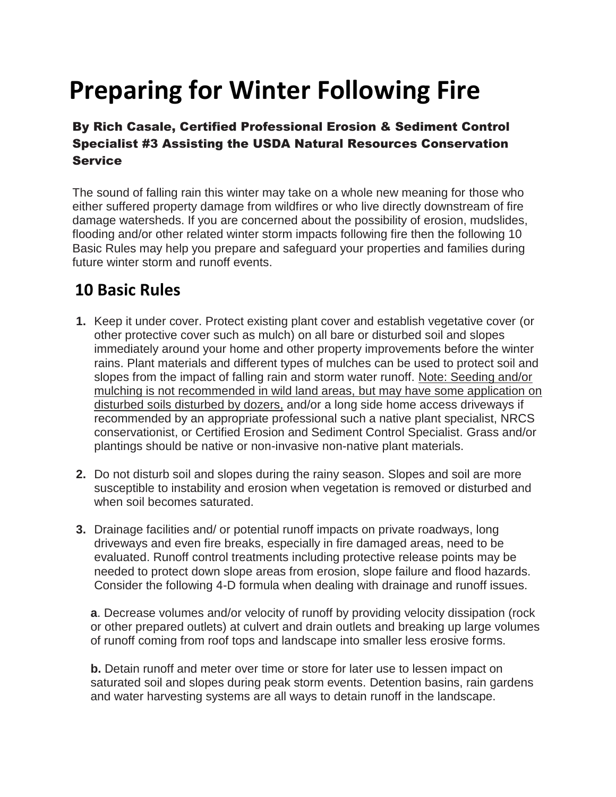## **Preparing for Winter Following Fire**

## By Rich Casale, Certified Professional Erosion & Sediment Control Specialist #3 Assisting the USDA Natural Resources Conservation **Service**

The sound of falling rain this winter may take on a whole new meaning for those who either suffered property damage from wildfires or who live directly downstream of fire damage watersheds. If you are concerned about the possibility of erosion, mudslides, flooding and/or other related winter storm impacts following fire then the following 10 Basic Rules may help you prepare and safeguard your properties and families during future winter storm and runoff events.

## **10 Basic Rules**

- **1.** Keep it under cover. Protect existing plant cover and establish vegetative cover (or other protective cover such as mulch) on all bare or disturbed soil and slopes immediately around your home and other property improvements before the winter rains. Plant materials and different types of mulches can be used to protect soil and slopes from the impact of falling rain and storm water runoff. Note: Seeding and/or mulching is not recommended in wild land areas, but may have some application on disturbed soils disturbed by dozers, and/or a long side home access driveways if recommended by an appropriate professional such a native plant specialist, NRCS conservationist, or Certified Erosion and Sediment Control Specialist. Grass and/or plantings should be native or non-invasive non-native plant materials.
- **2.** Do not disturb soil and slopes during the rainy season. Slopes and soil are more susceptible to instability and erosion when vegetation is removed or disturbed and when soil becomes saturated.
- **3.** Drainage facilities and/ or potential runoff impacts on private roadways, long driveways and even fire breaks, especially in fire damaged areas, need to be evaluated. Runoff control treatments including protective release points may be needed to protect down slope areas from erosion, slope failure and flood hazards. Consider the following 4-D formula when dealing with drainage and runoff issues.

**a**. Decrease volumes and/or velocity of runoff by providing velocity dissipation (rock or other prepared outlets) at culvert and drain outlets and breaking up large volumes of runoff coming from roof tops and landscape into smaller less erosive forms.

**b.** Detain runoff and meter over time or store for later use to lessen impact on saturated soil and slopes during peak storm events. Detention basins, rain gardens and water harvesting systems are all ways to detain runoff in the landscape.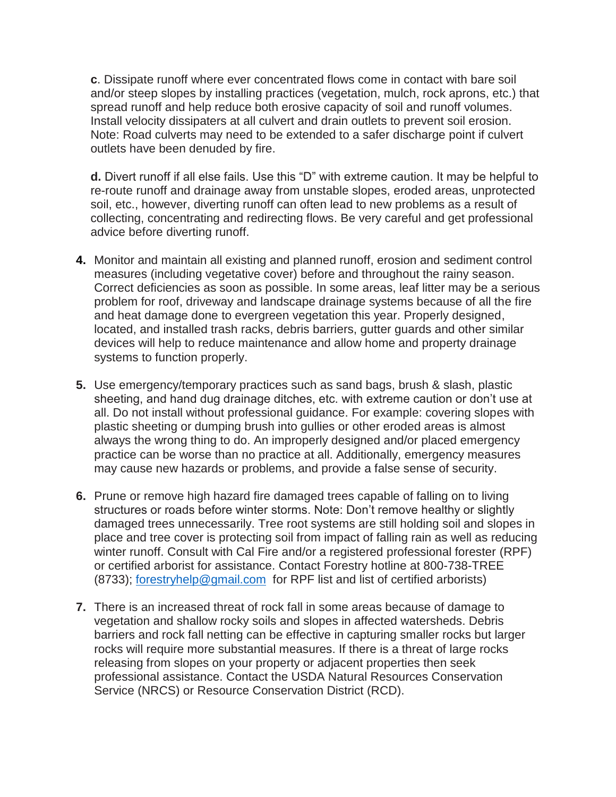**c**. Dissipate runoff where ever concentrated flows come in contact with bare soil and/or steep slopes by installing practices (vegetation, mulch, rock aprons, etc.) that spread runoff and help reduce both erosive capacity of soil and runoff volumes. Install velocity dissipaters at all culvert and drain outlets to prevent soil erosion. Note: Road culverts may need to be extended to a safer discharge point if culvert outlets have been denuded by fire.

**d.** Divert runoff if all else fails. Use this "D" with extreme caution. It may be helpful to re-route runoff and drainage away from unstable slopes, eroded areas, unprotected soil, etc., however, diverting runoff can often lead to new problems as a result of collecting, concentrating and redirecting flows. Be very careful and get professional advice before diverting runoff.

- **4.** Monitor and maintain all existing and planned runoff, erosion and sediment control measures (including vegetative cover) before and throughout the rainy season. Correct deficiencies as soon as possible. In some areas, leaf litter may be a serious problem for roof, driveway and landscape drainage systems because of all the fire and heat damage done to evergreen vegetation this year. Properly designed, located, and installed trash racks, debris barriers, gutter guards and other similar devices will help to reduce maintenance and allow home and property drainage systems to function properly.
- **5.** Use emergency/temporary practices such as sand bags, brush & slash, plastic sheeting, and hand dug drainage ditches, etc. with extreme caution or don't use at all. Do not install without professional guidance. For example: covering slopes with plastic sheeting or dumping brush into gullies or other eroded areas is almost always the wrong thing to do. An improperly designed and/or placed emergency practice can be worse than no practice at all. Additionally, emergency measures may cause new hazards or problems, and provide a false sense of security.
- **6.** Prune or remove high hazard fire damaged trees capable of falling on to living structures or roads before winter storms. Note: Don't remove healthy or slightly damaged trees unnecessarily. Tree root systems are still holding soil and slopes in place and tree cover is protecting soil from impact of falling rain as well as reducing winter runoff. Consult with Cal Fire and/or a registered professional forester (RPF) or certified arborist for assistance. Contact Forestry hotline at 800-738-TREE (8733); [forestryhelp@gmail.com](mailto:forestryhelp@gmail.com) for RPF list and list of certified arborists)
- **7.** There is an increased threat of rock fall in some areas because of damage to vegetation and shallow rocky soils and slopes in affected watersheds. Debris barriers and rock fall netting can be effective in capturing smaller rocks but larger rocks will require more substantial measures. If there is a threat of large rocks releasing from slopes on your property or adjacent properties then seek professional assistance. Contact the USDA Natural Resources Conservation Service (NRCS) or Resource Conservation District (RCD).